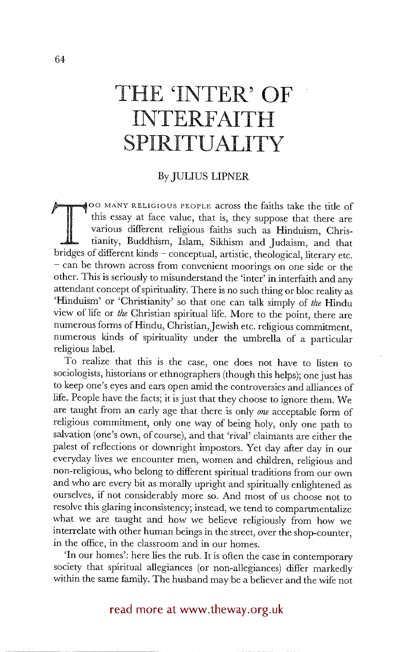# **THE 'INTER' OF INTERFAITH SPIRITUALITY**

### By JULIUS LIPNER

~OO IVIANY RELIGIOUS PEOPLE across the faiths take the title of this essay at face value, that is, they suppose that there are various different religious faiths such as Hinduism, Christianity, Buddhism, Islam, Sikhism and Judaism, and that bridges of different kinds - conceptual, artistic, theological, literary etc. - can be thrown across from convenient moorings on one side or the other. This is seriously to misunderstand the 'inter' in interfaith and any attendant concept of spirituality. There is no such thing or bloc reality as 'Hinduism' or 'Christianity' so that one can talk simply of *the* Hindu view of life or *the* Christian spiritual life. More to the point, there are numerous forms of Hindu, Christian,Jewish etc. religious commitment, numerous kinds of spirituality under the umbrella of a particular religious label.

To realize that this is the case, one does not have to listen to sociologists, historians or ethnographers (though this helps); one just has to keep one's eyes and ears open amid the controversies and alliances of life. People have the facts; it is just that they choose to ignore them. We are taught from an early age that there is only *one* acceptable form of religious commitment, only one way of being holy, only one path to salvation (one's own, of course), and that 'rival' claimants are either the palest of reflections or downright impostors. Yet day after day in our everyday lives we encounter men, women and children, religious and non-religious, who belong to different spiritual traditions from our own and who are every bit as morally upright and spiritually enlightened as ourselves, if not considerably more so. And most of us choose not to resolve this glaring inconsistency; instead, we tend to compartmentalize what we are taught and how we believe religiously from how we interrelate with other human beings in the street, over the shop-counter, in the office, in the classroom and in our homes.

'In our homes': here lies the rub. It is often the case in contemporary society that spiritual allegiances (or non-allegiances) differ markedly within the same family. The husband may be a believer and the wife not

# read more at www.theway.org.uk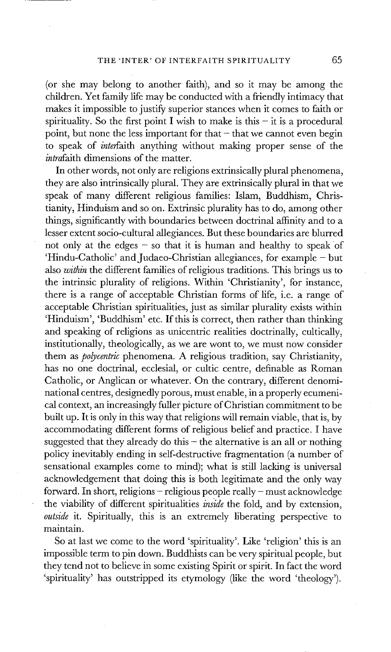(or she may belong to another faith), and so it may be among the children. Yet family life may be conducted with a friendly intimacy that makes it impossible to justify superior stances when it comes to faith or spirituality. So the first point I wish to make is this  $-$  it is a procedural point, but none the less important for that  $-$  that we cannot even begin to speak of *interfaith* anything without making proper sense of the *intrafaith* dimensions of the matter.

In other words, not only are religions extrinsically plural phenomena, they are also intrinsically plural. They are extrinsically plural in that we speak of many different religious families: Islam, Buddhism, Christianity, Hinduism and so on. Extrinsic plurality has to do, among other things, significantly with boundaries between doctrinal affinity and to a lesser extent socio-cultural allegiances. But these boundaries are blurred not only at the edges  $-$  so that it is human and healthy to speak of 'Hindu-Catholic' and Judaeo-Christian allegiances, for example - but also *within* the different families of religious traditions. This brings us to the intrinsic plurality of religions. Within 'Christianity', for instance, there is a range of acceptable Christian forms of life, i.e. a range of acceptable Christian spiritualities, just as similar plurality exists within 'Hinduism', 'Buddhism' etc. If this is correct, then rather than thinking and speaking of religions as unicentric realities doctrinally, cultically, institutionally, theologically, as we are wont to, we must now consider them as *polycentric* phenomena. A religious tradition, say Christianity, has no one doctrinal, ecclesial, or cultic centre, definable as Roman Catholic, or Anglican or whatever. On the contrary, different denominational centres, designedly porous, must enable, in a properly ecumenical context, an increasingly fuller picture of Christian commitment to be built up. It is only in this way that religions will remain viable, that is, by accommodating different forms of religious belief and practice. I have suggested that they already do this  $-$  the alternative is an all or nothing policy inevitably ending in self-destructive fragmentation (a number of sensational examples come to mind); what is still lacking is universal acknowledgement that doing this is both legitimate and the only way forward. In short, religions - religious people really- must acknowledge the viability of different spiritualities *inside the* fold, and by extension, *outside* it. Spiritually, this is an extremely liberating perspective to maintain.

So at last we come to the word 'spirituality'. Like 'religion' this is an impossible term to pin down. Buddhists can be very spiritual people, but they tend not to believe in some existing Spirit or spirit. In fact the word 'spirituality' has outstripped its etymology (like the word 'theology').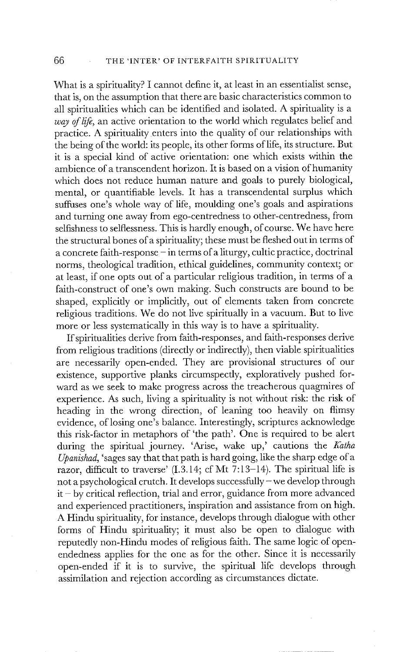What is a spirituality? I cannot define it, at least in an essentialist sense, that is, on the assumption that there are basic characteristics common to all spiritualities which can be identified and isolated. A spirituality is a *way of life,* an active orientation to the world which regulates belief and practice. A spirituality enters into the quality of our relationships with the being of the world: its people, its other forms of life, its structure. But it is a special kind of active orientation: one which exists within the ambience of a transcendent horizon. It is based on a vision of humanity which does not reduce human nature and goals to purely biological, mental, or quantifiable levels. It has a transcendental surplus which suffuses one's whole way of life, moulding one's goals and aspirations and turning one away from ego-centredness to other-centredness, from selfishness to selflessness. This is hardly enough, of course. We have here the structural bones of a spirituality; these must be fleshed out in terms of a concrete faith-response - in terms of a liturgy, cultic practice, doctrinal norms, theological tradition, ethical guidelines, community context; or at least, if one opts out of a particular religious tradition, in terms of a faith-construct of one's own making. Such constructs are bound to be shaped, explicitly or implicitly, out of elements taken from concrete religious traditions. We do not live spiritually in a vacuum. But to live more or less systematically in this way is to have a spirituality.

If spiritualities derive from faith-responses, and faith-responses derive from religious traditions (directly or indirectly), then viable spiritualities are necessarily open-ended. They are provisional structures of our existence, supportive planks circumspectly, exploratively pushed forward as we seek to make progress across the treacherous quagmires of experience. As such, living a spirituality is not without risk: the risk of heading in the wrong direction, of leaning too heavily on flimsy evidence, of losing one's balance. Interestingly, scriptures acknowledge this risk-factor in metaphors of 'the path'. One is required to be alert during the spiritual journey. 'Arise, wake up,' cautions the *Katha Upanishad,* 'sages say that that path is hard going, like the sharp edge of a razor, difficult to traverse' (I.3.14; cf Mt 7:13-14). The spiritual life is not a psychological crutch. It develops successfully- we develop through  $it - by critical reflection, trial and error, guidance from more advanced$ and experienced practitioners, inspiration and assistance from on high. A Hindu spirituality, for instance, develops through dialogue with other forms of Hindu spirituality; it must also be open to dialogue with reputedly non-Hindu modes of religious faith. The same logic of openendedness applies for the one as for the other. Since it is necessarily open-ended if it is to survive, the spiritual life develops through assimilation and rejection according as circumstances dictate.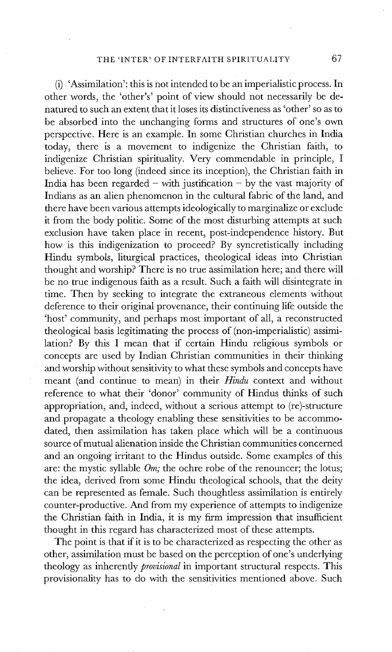(i) 'Assimilation': this is not intended to be an imperialistic process. In other words, the 'other's' point of view should not necessarily be denatured to such an extent that it loses its distinctiveness as 'other' so as to be absorbed into the unchanging forms and structures of one's own perspective. Here is an example. In some Christian churches in India today, there is a movement to indigenize the Christian faith, to indigenize Christian spirituality. Very commendable in principle, I believe. For too long (indeed since its inception), the Christian faith in India has been regarded – with justification – by the vast majority of Indians as an alien phenomenon in the cultural fabric of the land, and there have been various attempts ideologically to marginalize or exclude it from the body politic. Some of the most disturbing attempts at such exclusion have taken place in recent, post-independence history. But how is this indigenization to proceed? By syncretistically including Hindu symbols, liturgical practices, theological ideas into Christian thought and worship? There is no true assimilation here; and there will be no true indigenous faith as a result. Such a faith will disintegrate in time. Then by seeking to integrate the extraneous elements without deference to their original provenance, their continuing life outside the 'host' community, and perhaps most important of all, a reconstructed theological basis legitimating the process of (non-imperialistic) assimilation? By this I mean that if certain Hindu religious symbols or concepts are used by Indian Christian communities in their thinking and worship without sensitivity to what these symbols and concepts have meant (and continue to mean) in their *Hindu* context and without reference to what their 'donor' community of Hindus thinks of such appropriation, and, indeed, without a serious attempt to (re)-structure and propagate a theology enabling these sensitivities to be accommodated, then assimilation has taken place which will be a continuous source of mutual alienation inside the Christian communities concerned and an ongoing irritant to the Hindus outside. Some examples of this are: the mystic syllable *Om;* the ochre robe of the renouncer; the lotus; the idea, derived from some Hindu theological schools, that the deity can be represented as female. Such thoughtless assimilation is entirely counter-productive. And from my experience of attempts to indigenize the Christian faith in India, it is my firm impression that insufficient thought in this regard has characterized most of these attempts.

The point is that if it is to be characterized as respecting the other as other, assimilation must be based on the perception of one's underlying theology as inherently *provisional* in important structural respects. This provisionality has to do with the sensitivities mentioned above. Such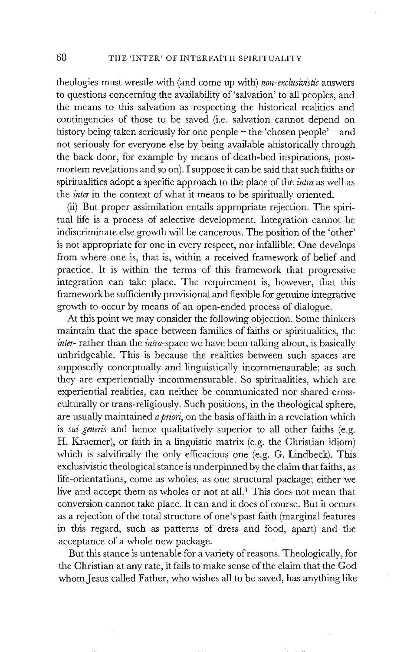theologies must wrestle with (and come up with) *non-exclusivistic* answers to questions concerning the availability of 'salvation' to all peoples, and the means to this salvation as respecting the historical realities and contingencies of those to be saved (i.e. salvation cannot depend on history being taken seriously for one people  $-$  the 'chosen people'  $-$  and not seriously for everyone else by being available ahistorically through the back door, for example by means of death-bed inspirations, postmortem revelations and so on). I suppose it can be said that such faiths or spiritualities adopt a specific approach to the place of the *intra* as well as the *inter* in the context of what it means to be spiritually oriented.

(ii) But proper assimilation entails appropriate rejection. The spiritual life is a process of selective development. Integration cannot be indiscriminate else growth will be cancerous. The position of the 'other' is not appropriate for one in every respect, nor infallible. One develops from where one is, that is, within a received framework of belief and practice. It is within the terms of this framework that progressive integration can take place. The requirement is, however, that this framework be sufficiently provisional and flexible for genuine integrative growth to occur by means of an open-ended process of dialogue.

At this point we may consider the following objection. Some thinkers maintain that the space between families of faiths or spiritualities, the *inter-* rather than the *intra-space* we have been talking about, is basically unbridgeable. This is because the realities between such spaces are supposedly conceptually and linguistically incommensurable; as such they are experientially incommensurable. So spiritualities, which are experiential realities, can neither be communicated nor shared crossculturally or trans-religiously. Such positions, in the theological sphere, are usually maintained *apriori,* on the basis of faith in a revelation which is *sui generis* and hence qualitatively superior to all other faiths (e.g. H. Kraemer), or faith in a linguistic matrix (e.g. the Christian idiom) which is salvifically the only efficacious one (e.g. G. Lindbeck). This exclusivistic theological stance is underpinned by the claim that faiths, as life-orientations, come as wholes, as one structural package; either we live and accept them as wholes or not at all.<sup>1</sup> This does not mean that conversion cannot take place. It can and it does of course. But it occurs as a rejection of the total structure of one's past faith (marginal features in this regard, such as patterns of dress and food, apart) and the acceptance of a whole new package.

But this stance is untenable for a variety of reasons. Theologically, for the Christian at any rate, it fails to make sense of the claim that the God whom Jesus called Father, who wishes all to be saved, has anything like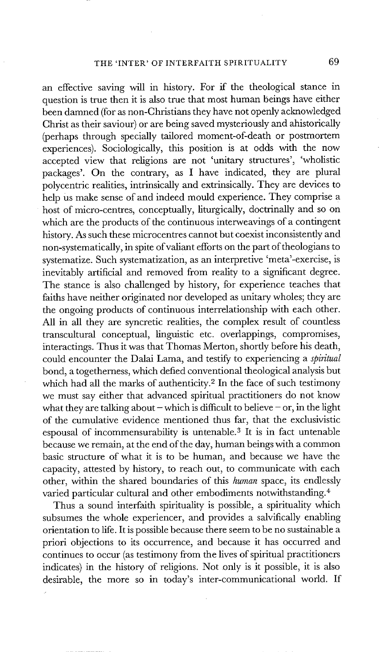## THE 'INTER' OF INTERFAITH SPIRITUALITY 69

an effective saving will in history. For if the theological stance in question is true then it is also true that most human beings have either been damned (for as non-Christians they have not openly acknowledged Christ as their saviour) or are being saved mysteriously and ahistorically (perhaps through specially tailored moment-of-death or postmortem experiences). Sociologically, this position is at odds with the now accepted view that religions are not 'unitary structures', 'wholistic packages'. On the contrary, as I have indicated, they are plural polycentric realities, intrinsically and extrinsically. They are devices to help us make sense of and indeed mould experience. They comprise a host of micro-centres, conceptually, liturgically, doctrinally and so on which are the products of the continuous interweavings of a contingent history. As such these microcentres cannot but coexist inconsistently and non-systematically, in spite of valiant efforts on the part of theologians to systematize. Such systematization, as an interpretive 'meta'-exercise, is inevitably artificial and removed from reality to a significant degree. The stance is also challenged by history, for experience teaches that faiths have neither originated nor developed as unitary wholes; they are the ongoing products of continuous interrelationship with each other. All in all they are syncretic realities, the complex result of countless transcultural conceptual, linguistic etc. overlappings, compromises, interactings. Thus it was that Thomas Merton, shortly before his death, could encounter the Dalai Lama, and testify to experiencing a *spiritual*  bond, a togetherness, which defied conventional theological analysis but which had all the marks of authenticity.<sup>2</sup> In the face of such testimony we must say either that advanced spiritual practitioners do not know what they are talking about - which is difficult to believe - or, in the light of the cumulative evidence mentioned thus far, that the exclusivistic espousal of incommensurability is untenable. 3 It is in fact untenable because we remain, at the end of the day, human beings with a common basic structure of what it is to be human, and because we have the capacity, attested by history, to reach out, to communicate with each other, within the shared boundaries of this *human* space, its endlessly varied particular cultural and other embodiments notwithstanding. 4

Thus a sound interfaith spirituality is possible, a spirituality which subsumes the whole experiencer, and provides a salvifically enabling orientation to life. It is possible because there seem to be no sustainable a priori objections to its occurrence, and because it has occurred and continues to occur (as testimony from the lives of spiritual practitioners indicates) in the history of religions. Not only is it possible, it is also desirable, the more so in today's inter-communicational world. If